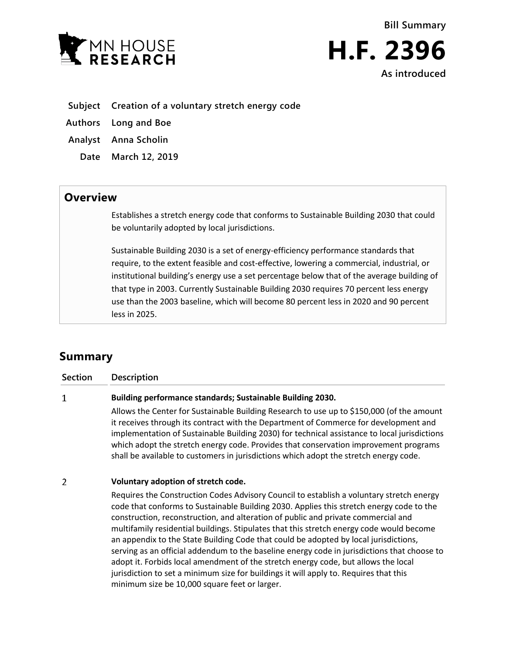



- **Subject Creation of a voluntary stretch energy code**
- **Authors Long and Boe**
- **Analyst Anna Scholin**
	- **Date March 12, 2019**

## **Overview**

Establishes a stretch energy code that conforms to Sustainable Building 2030 that could be voluntarily adopted by local jurisdictions.

Sustainable Building 2030 is a set of energy-efficiency performance standards that require, to the extent feasible and cost-effective, lowering a commercial, industrial, or institutional building's energy use a set percentage below that of the average building of that type in 2003. Currently Sustainable Building 2030 requires 70 percent less energy use than the 2003 baseline, which will become 80 percent less in 2020 and 90 percent less in 2025.

## **Summary**

**Section Description**

## **Building performance standards; Sustainable Building 2030.**  $\mathbf{1}$

Allows the Center for Sustainable Building Research to use up to \$150,000 (of the amount it receives through its contract with the Department of Commerce for development and implementation of Sustainable Building 2030) for technical assistance to local jurisdictions which adopt the stretch energy code. Provides that conservation improvement programs shall be available to customers in jurisdictions which adopt the stretch energy code.

## $\overline{2}$ **Voluntary adoption of stretch code.**

Requires the Construction Codes Advisory Council to establish a voluntary stretch energy code that conforms to Sustainable Building 2030. Applies this stretch energy code to the construction, reconstruction, and alteration of public and private commercial and multifamily residential buildings. Stipulates that this stretch energy code would become an appendix to the State Building Code that could be adopted by local jurisdictions, serving as an official addendum to the baseline energy code in jurisdictions that choose to adopt it. Forbids local amendment of the stretch energy code, but allows the local jurisdiction to set a minimum size for buildings it will apply to. Requires that this minimum size be 10,000 square feet or larger.